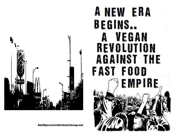

AntiSpeciesistAction@riseup.net

# A NEW ERA BEGINS. VEGAN **REVOLUTION** AGAINST THE **FAST FOOD** EMPIRE